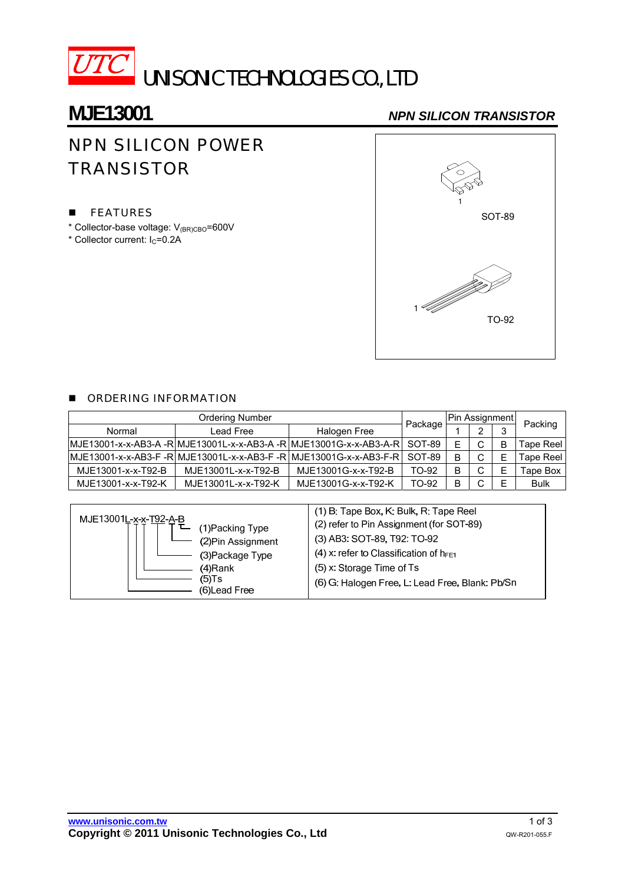

# **MJE13001** *NPN SILICON TRANSISTOR*

# NPN SILICON POWER **TRANSISTOR**

### **FEATURES**

- \* Collector-base voltage: V(BR)CBO=600V
- $*$  Collector current:  $I_C = 0.2A$



### **DE ORDERING INFORMATION**

|                    |                     | Pin Assignment                                                              |         |   |        |   |                  |  |
|--------------------|---------------------|-----------------------------------------------------------------------------|---------|---|--------|---|------------------|--|
| Normal             | Lead Free           | Halogen Free                                                                | Package |   | $\sim$ | ີ | Packing          |  |
|                    |                     | lMJE13001-x-x-AB3-A -RlMJE13001L-x-x-AB3-A -RlMJE13001G-x-x-AB3-A-Rl SOT-89 |         | Е | C      | B | <b>Tape Reel</b> |  |
|                    |                     | MJE13001-x-x-AB3-F -R MJE13001L-x-x-AB3-F -R MJE13001G-x-x-AB3-F-R          | SOT-89  | B | C      | E | <b>Tape Reel</b> |  |
| MJE13001-x-x-T92-B | MJE13001L-x-x-T92-B | MJE13001G-x-x-T92-B                                                         | TO-92   | B | C      | E | <b>Tape Box</b>  |  |
| MJE13001-x-x-T92-K | MJE13001L-x-x-T92-K | MJE13001G-x-x-T92-K                                                         | TO-92   | B | C      | F | <b>Bulk</b>      |  |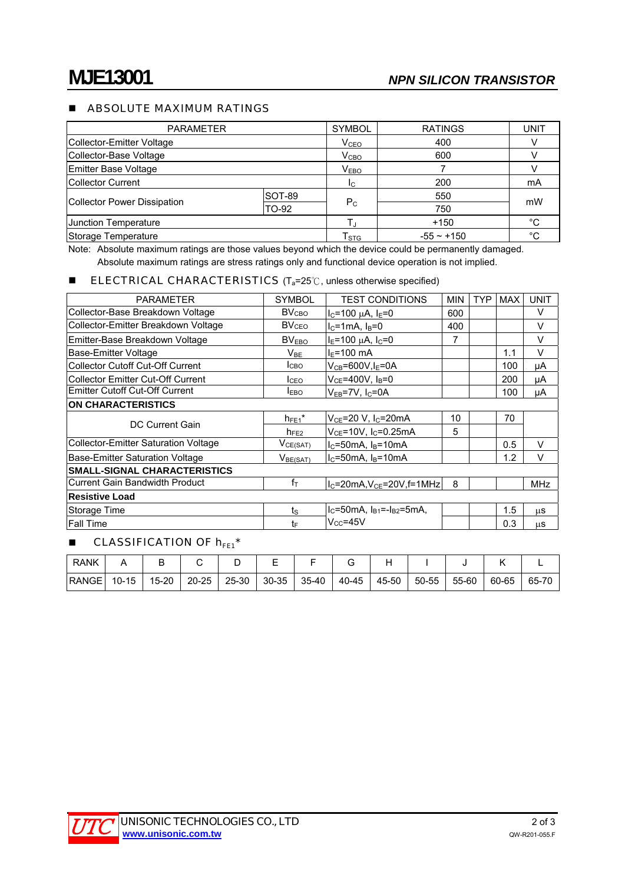### **ABSOLUTE MAXIMUM RATINGS**

| <b>PARAMETER</b>            |        | <b>SYMBOL</b>             | <b>RATINGS</b> | UNIT |
|-----------------------------|--------|---------------------------|----------------|------|
| Collector-Emitter Voltage   |        | V <sub>CEO</sub>          | 400            |      |
| Collector-Base Voltage      |        | V <sub>CBO</sub>          | 600            |      |
| Emitter Base Voltage        |        | V <sub>EBO</sub>          |                |      |
| Collector Current           |        | Ic.                       | 200            | mA   |
|                             | SOT-89 |                           | 550            | mW   |
| Collector Power Dissipation | TO-92  | $P_{C}$                   | 750            |      |
| <b>Junction Temperature</b> |        | $+150$                    | °C             |      |
| Storage Temperature         |        | $\mathsf{T}_{\text{STG}}$ | $-55 - +150$   | °C   |

Note: Absolute maximum ratings are those values beyond which the device could be permanently damaged. Absolute maximum ratings are stress ratings only and functional device operation is not implied.

#### **ELECTRICAL CHARACTERISTICS** ( $T_a=25^\circ$ C, unless otherwise specified)

| <b>PARAMETER</b>                            | <b>SYMBOL</b>           | <b>TEST CONDITIONS</b>                | <b>MIN</b> | <b>TYP</b> | <b>MAX</b> | <b>UNIT</b> |  |  |  |
|---------------------------------------------|-------------------------|---------------------------------------|------------|------------|------------|-------------|--|--|--|
| Collector-Base Breakdown Voltage            | BV <sub>CBO</sub>       | $I_C = 100 \mu A$ , $I_E = 0$         | 600        |            |            | V           |  |  |  |
| Collector-Emitter Breakdown Voltage         | <b>BV<sub>CEO</sub></b> | $IC=1mA, IB=0$                        | 400        |            |            | V           |  |  |  |
| Emitter-Base Breakdown Voltage              | BV <sub>EBO</sub>       | $I_E$ =100 µA, $I_C$ =0               | 7          |            |            | V           |  |  |  |
| Base-Emitter Voltage                        | $V_{BE}$                | $I_F = 100$ mA                        |            |            | 1.1        | V           |  |  |  |
| <b>Collector Cutoff Cut-Off Current</b>     | <b>I</b> CBO            | $V_{CB} = 600V$ , I <sub>E</sub> =0A  |            |            | 100        | μA          |  |  |  |
| <b>Collector Emitter Cut-Off Current</b>    | I <sub>CEO</sub>        | $V_{CF}$ =400V, $I_B$ =0              |            |            | 200        | μA          |  |  |  |
| <b>Emitter Cutoff Cut-Off Current</b>       | <b>IEBO</b>             | $V_{EB}$ =7V, I <sub>C</sub> =0A      |            |            | 100        | μA          |  |  |  |
| <b>ON CHARACTERISTICS</b>                   |                         |                                       |            |            |            |             |  |  |  |
| DC Current Gain                             | $h_{FE1}$ *             | $V_{CE}$ =20 V, I <sub>C</sub> =20mA  | 10         |            | 70         |             |  |  |  |
|                                             | $h_{FE2}$               | $V_{CE}$ =10V, I <sub>C</sub> =0.25mA | 5          |            |            |             |  |  |  |
| <b>Collector-Emitter Saturation Voltage</b> | $V_{CE(SAT)}$           | $I_C = 50mA$ , $I_B = 10mA$           |            |            | 0.5        | $\vee$      |  |  |  |
| Base-Emitter Saturation Voltage             | V <sub>BE(SAT)</sub>    | $IC=50mA, IB=10mA$                    |            |            | 1.2        | V           |  |  |  |
| <b>SMALL-SIGNAL CHARACTERISTICS</b>         |                         |                                       |            |            |            |             |  |  |  |
| <b>Current Gain Bandwidth Product</b>       | $f_{\text{T}}$          | 8<br>$lC=20mA, VCE=20V, f=1MHz$       |            |            |            | <b>MHz</b>  |  |  |  |
| <b>Resistive Load</b>                       |                         |                                       |            |            |            |             |  |  |  |
| Storage Time                                | $t_{\rm S}$             | $IC=50mA$ , $IB1=-IB2=5mA$            |            |            | 1.5        | μS          |  |  |  |
| <b>Fall Time</b>                            | t⊧                      | $V_{CC} = 45V$                        |            |            | 0.3        | us          |  |  |  |

### **E** CLASSIFICATION OF  $h_{FE1}$ <sup>\*</sup>

| <b>RANK</b>  |           |           |           |       | -         |       |       |       |       |       |       |       |
|--------------|-----------|-----------|-----------|-------|-----------|-------|-------|-------|-------|-------|-------|-------|
| <b>RANGE</b> | $10 - 15$ | $15 - 20$ | $20 - 25$ | 25-30 | $30 - 35$ | 35-40 | 40-45 | 45-50 | 50-55 | 55-60 | 60-65 | 65-70 |